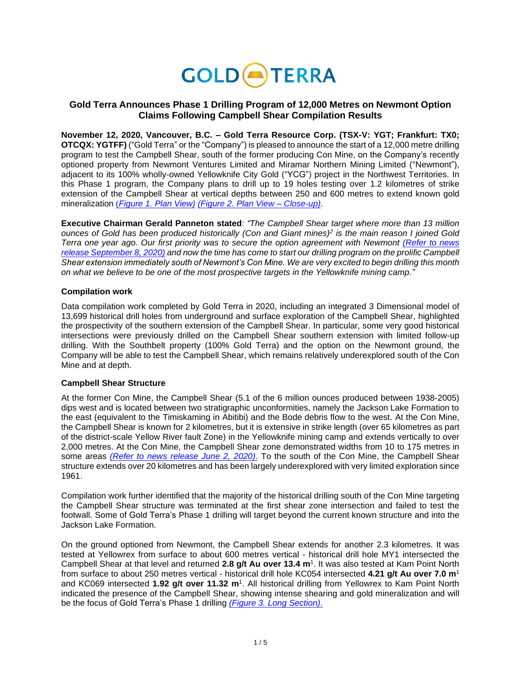

# **Gold Terra Announces Phase 1 Drilling Program of 12,000 Metres on Newmont Option Claims Following Campbell Shear Compilation Results**

**November 12, 2020, Vancouver, B.C. – Gold Terra Resource Corp. (TSX-V: YGT; Frankfurt: TX0; OTCQX: YGTFF)** ("Gold Terra" or the "Company") is pleased to announce the start of a 12,000 metre drilling program to test the Campbell Shear, south of the former producing Con Mine, on the Company's recently optioned property from Newmont Ventures Limited and Miramar Northern Mining Limited ("Newmont"), adjacent to its 100% wholly-owned Yellowknife City Gold ("YCG") project in the Northwest Territories. In this Phase 1 program, the Company plans to drill up to 19 holes testing over 1.2 kilometres of strike extension of the Campbell Shear at vertical depths between 250 and 600 metres to extend known gold mineralization (*[Figure 1. Plan View\)](https://goldterracorp.com/site/assets/files/nr/2020-11-12-ygt-nrm1-9ryhrx.jpg) [\(Figure 2. Plan View –](https://goldterracorp.com/site/assets/files/nr/2020-11-12-ygt-nrm2-9ryhrx.jpg) Close-up)*.

**Executive Chairman Gerald Panneton stated**: *"The Campbell Shear target where more than 13 million ounces of Gold has been produced historically (Con and Giant mines)<sup>2</sup> is the main reason I joined Gold Terra one year ago. Our first priority was to secure the option agreement with Newmont [\(Refer to news](https://www.goldterracorp.com/news/gold-terra-to-earn-up-to-a-60-interest-on-adjacen-1809/)  [release September 8,](https://www.goldterracorp.com/news/gold-terra-to-earn-up-to-a-60-interest-on-adjacen-1809/) 2020) and now the time has come to start our drilling program on the prolific Campbell Shear extension immediately south of Newmont's Con Mine. We are very excited to begin drilling this month on what we believe to be one of the most prospective targets in the Yellowknife mining camp."*

## **Compilation work**

Data compilation work completed by Gold Terra in 2020, including an integrated 3 Dimensional model of 13,699 historical drill holes from underground and surface exploration of the Campbell Shear, highlighted the prospectivity of the southern extension of the Campbell Shear. In particular, some very good historical intersections were previously drilled on the Campbell Shear southern extension with limited follow-up drilling. With the Southbelt property (100% Gold Terra) and the option on the Newmont ground, the Company will be able to test the Campbell Shear, which remains relatively underexplored south of the Con Mine and at depth.

## **Campbell Shear Structure**

At the former Con Mine, the Campbell Shear (5.1 of the 6 million ounces produced between 1938-2005) dips west and is located between two stratigraphic unconformities, namely the Jackson Lake Formation to the east (equivalent to the Timiskaming in Abitibi) and the Bode debris flow to the west. At the Con Mine, the Campbell Shear is known for 2 kilometres, but it is extensive in strike length (over 65 kilometres as part of the district-scale Yellow River fault Zone) in the Yellowknife mining camp and extends vertically to over 2,000 metres. At the Con Mine, the Campbell Shear zone demonstrated widths from 10 to 175 metres in some areas *[\(Refer to news release June 2, 2020\)](https://www.goldterracorp.com/news/gold-terra-announces-compilation-and-drilling-of-prolific-campbell-shear-target-in-yellowknife/)*. To the south of the Con Mine, the Campbell Shear structure extends over 20 kilometres and has been largely underexplored with very limited exploration since 1961.

Compilation work further identified that the majority of the historical drilling south of the Con Mine targeting the Campbell Shear structure was terminated at the first shear zone intersection and failed to test the footwall. Some of Gold Terra's Phase 1 drilling will target beyond the current known structure and into the Jackson Lake Formation.

On the ground optioned from Newmont, the Campbell Shear extends for another 2.3 kilometres. It was tested at Yellowrex from surface to about 600 metres vertical - historical drill hole MY1 intersected the Campbell Shear at that level and returned **2.8 g/t Au over 13.4 m**<sup>1</sup> . It was also tested at Kam Point North from surface to about 250 metres vertical - historical drill hole KC054 intersected **4.21 g/t Au over 7.0 m**<sup>1</sup> and KC069 intersected **1.92 g/t over 11.32 m**<sup>1</sup> . All historical drilling from Yellowrex to Kam Point North indicated the presence of the Campbell Shear, showing intense shearing and gold mineralization and will be the focus of Gold Terra's Phase 1 drilling *[\(Figure 3. Long Section\)](https://goldterracorp.com/site/assets/files/nr/2020-11-12-ygt-nrm3-9ryhrx.jpg)*.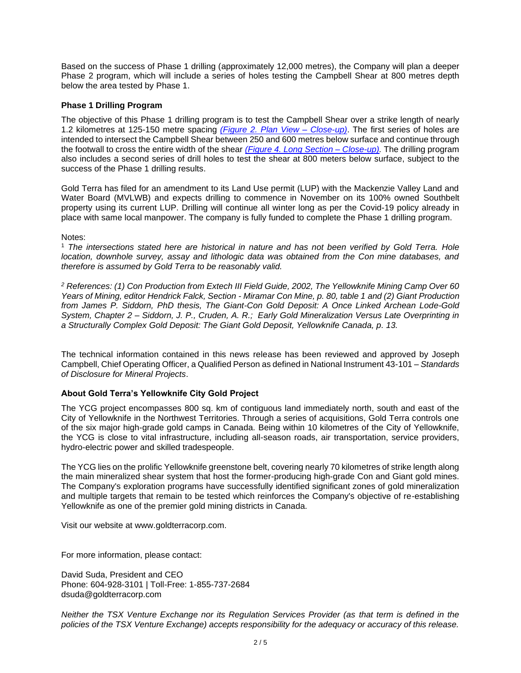Based on the success of Phase 1 drilling (approximately 12,000 metres), the Company will plan a deeper Phase 2 program, which will include a series of holes testing the Campbell Shear at 800 metres depth below the area tested by Phase 1.

## **Phase 1 Drilling Program**

The objective of this Phase 1 drilling program is to test the Campbell Shear over a strike length of nearly 1.2 kilometres at 125-150 metre spacing *[\(Figure 2. Plan View –](https://goldterracorp.com/site/assets/files/nr/2020-11-12-ygt-nrm2-9ryhrx.jpg) Close-up)*. The first series of holes are intended to intersect the Campbell Shear between 250 and 600 metres below surface and continue through the footwall to cross the entire width of the shear *[\(Figure 4. Long Section –](https://goldterracorp.com/site/assets/files/nr/2020-11-12-ygt-nrm4-9ryhrx.jpg) Close-up).* The drilling program also includes a second series of drill holes to test the shear at 800 meters below surface, subject to the success of the Phase 1 drilling results.

Gold Terra has filed for an amendment to its Land Use permit (LUP) with the Mackenzie Valley Land and Water Board (MVLWB) and expects drilling to commence in November on its 100% owned Southbelt property using its current LUP. Drilling will continue all winter long as per the Covid-19 policy already in place with same local manpower. The company is fully funded to complete the Phase 1 drilling program.

#### Notes:

<sup>1</sup> *The intersections stated here are historical in nature and has not been verified by Gold Terra. Hole location, downhole survey, assay and lithologic data was obtained from the Con mine databases, and therefore is assumed by Gold Terra to be reasonably valid.* 

*<sup>2</sup> References: (1) Con Production from Extech III Field Guide, 2002, The Yellowknife Mining Camp Over 60 Years of Mining, editor Hendrick Falck, Section - Miramar Con Mine, p. 80, table 1 and (2) Giant Production from James P. Siddorn, PhD thesis, The Giant-Con Gold Deposit: A Once Linked Archean Lode-Gold System, Chapter 2 – Siddorn, J. P., Cruden, A. R.; Early Gold Mineralization Versus Late Overprinting in a Structurally Complex Gold Deposit: The Giant Gold Deposit, Yellowknife Canada, p. 13.*

The technical information contained in this news release has been reviewed and approved by Joseph Campbell, Chief Operating Officer, a Qualified Person as defined in National Instrument 43-101 – *Standards of Disclosure for Mineral Projects*.

#### **About Gold Terra's Yellowknife City Gold Project**

The YCG project encompasses 800 sq. km of contiguous land immediately north, south and east of the City of Yellowknife in the Northwest Territories. Through a series of acquisitions, Gold Terra controls one of the six major high-grade gold camps in Canada. Being within 10 kilometres of the City of Yellowknife, the YCG is close to vital infrastructure, including all-season roads, air transportation, service providers, hydro-electric power and skilled tradespeople.

The YCG lies on the prolific Yellowknife greenstone belt, covering nearly 70 kilometres of strike length along the main mineralized shear system that host the former-producing high-grade Con and Giant gold mines. The Company's exploration programs have successfully identified significant zones of gold mineralization and multiple targets that remain to be tested which reinforces the Company's objective of re-establishing Yellowknife as one of the premier gold mining districts in Canada.

Visit our website at [www.goldterracorp.com.](https://goldterracorp.com/)

For more information, please contact:

David Suda, President and CEO Phone: 604-928-3101 | Toll-Free: 1-855-737-2684 dsuda@goldterracorp.com

*Neither the TSX Venture Exchange nor its Regulation Services Provider (as that term is defined in the policies of the TSX Venture Exchange) accepts responsibility for the adequacy or accuracy of this release.*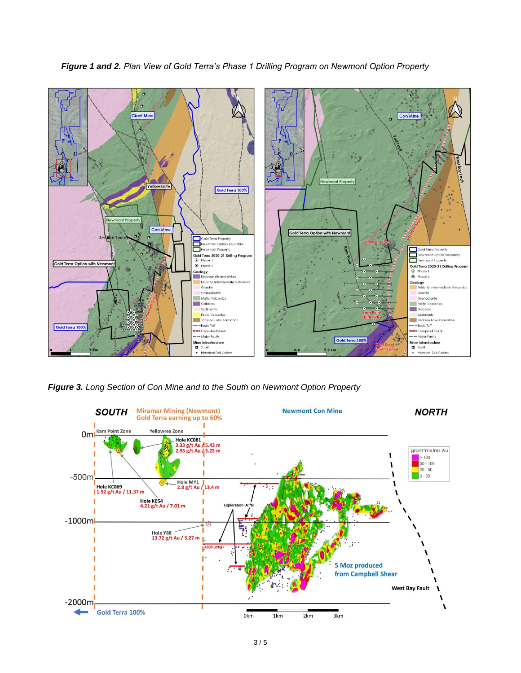

Sediment

=== Campbell Shear

-Major Faults

Mine Infrastructure Shaft<br>• Historical Drill Collars

 $-$ Bode Tuff

Gold Terra 100%

Jackson Lake Formation

*Figure 1 and 2. Plan View of Gold Terra's Phase 1 Drilling Program on Newmont Option Property*

*Figure 3. Long Section of Con Mine and to the South on Newmont Option Property*

Jackson Lake Formation

-Bode Tuff

=== Campbell Shear - Major Faults

**Mine Infrastructure**<br>■ Shaft<br>● Historical Drill Collars

Gold Terra 100%

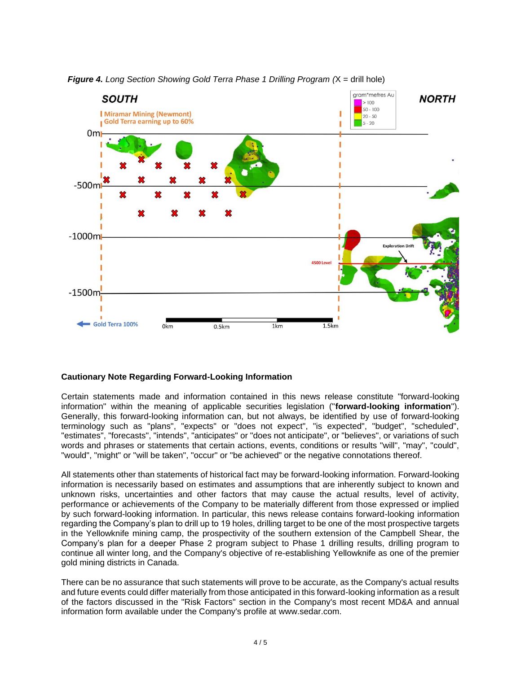

*Figure 4. Long Section Showing Gold Terra Phase 1 Drilling Program (*X = drill hole)

# **Cautionary Note Regarding Forward-Looking Information**

Certain statements made and information contained in this news release constitute "forward-looking information" within the meaning of applicable securities legislation ("**forward-looking information**"). Generally, this forward-looking information can, but not always, be identified by use of forward-looking terminology such as "plans", "expects" or "does not expect", "is expected", "budget", "scheduled", "estimates", "forecasts", "intends", "anticipates" or "does not anticipate", or "believes", or variations of such words and phrases or statements that certain actions, events, conditions or results "will", "may", "could", "would", "might" or "will be taken", "occur" or "be achieved" or the negative connotations thereof.

All statements other than statements of historical fact may be forward-looking information. Forward-looking information is necessarily based on estimates and assumptions that are inherently subject to known and unknown risks, uncertainties and other factors that may cause the actual results, level of activity, performance or achievements of the Company to be materially different from those expressed or implied by such forward-looking information. In particular, this news release contains forward-looking information regarding the Company's plan to drill up to 19 holes, drilling target to be one of the most prospective targets in the Yellowknife mining camp, the prospectivity of the southern extension of the Campbell Shear, the Company's plan for a deeper Phase 2 program subject to Phase 1 drilling results, drilling program to continue all winter long, and the Company's objective of re-establishing Yellowknife as one of the premier gold mining districts in Canada.

There can be no assurance that such statements will prove to be accurate, as the Company's actual results and future events could differ materially from those anticipated in this forward-looking information as a result of the factors discussed in the "Risk Factors" section in the Company's most recent MD&A and annual information form available under the Company's profile at [www.sedar.com.](https://sedar.com/)